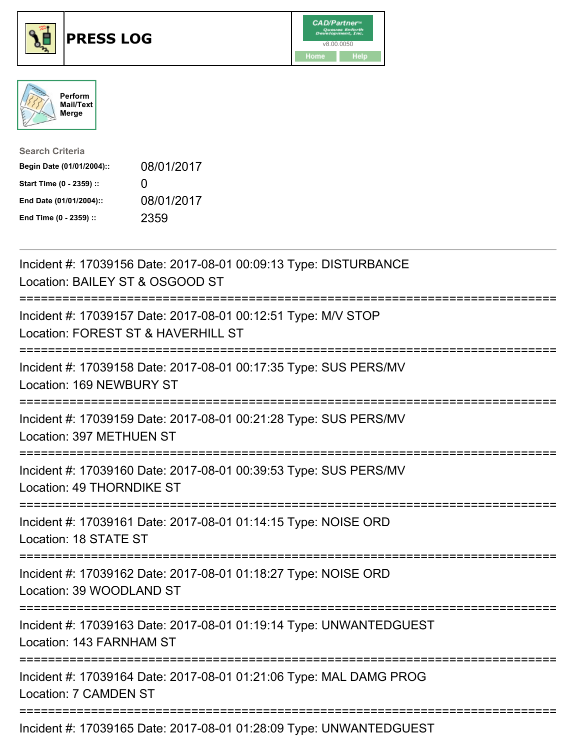





| <b>Search Criteria</b>    |              |
|---------------------------|--------------|
| Begin Date (01/01/2004):: | 08/01/2017   |
| Start Time (0 - 2359) ::  | $\mathbf{U}$ |
| End Date (01/01/2004)::   | 08/01/2017   |
| End Time (0 - 2359) ::    | 2359         |

| Incident #: 17039156 Date: 2017-08-01 00:09:13 Type: DISTURBANCE<br>Location: BAILEY ST & OSGOOD ST                        |
|----------------------------------------------------------------------------------------------------------------------------|
| Incident #: 17039157 Date: 2017-08-01 00:12:51 Type: M/V STOP<br>Location: FOREST ST & HAVERHILL ST                        |
| Incident #: 17039158 Date: 2017-08-01 00:17:35 Type: SUS PERS/MV<br>Location: 169 NEWBURY ST                               |
| Incident #: 17039159 Date: 2017-08-01 00:21:28 Type: SUS PERS/MV<br>Location: 397 METHUEN ST                               |
| Incident #: 17039160 Date: 2017-08-01 00:39:53 Type: SUS PERS/MV<br>Location: 49 THORNDIKE ST                              |
| Incident #: 17039161 Date: 2017-08-01 01:14:15 Type: NOISE ORD<br>Location: 18 STATE ST                                    |
| Incident #: 17039162 Date: 2017-08-01 01:18:27 Type: NOISE ORD<br>Location: 39 WOODLAND ST                                 |
| ;=======================<br>Incident #: 17039163 Date: 2017-08-01 01:19:14 Type: UNWANTEDGUEST<br>Location: 143 FARNHAM ST |
| Incident #: 17039164 Date: 2017-08-01 01:21:06 Type: MAL DAMG PROG<br><b>Location: 7 CAMDEN ST</b>                         |
| Incident #: 17039165 Date: 2017-08-01 01:28:09 Type: UNWANTEDGUEST                                                         |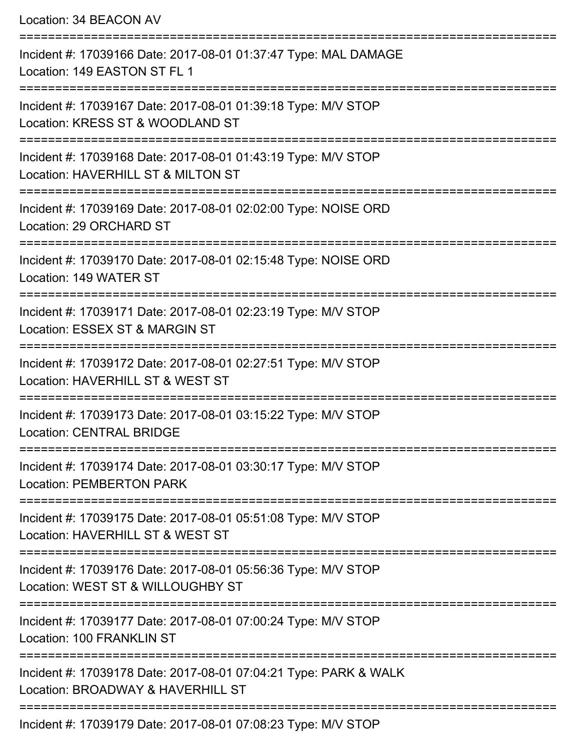| Location: 34 BEACON AV                                                                                |
|-------------------------------------------------------------------------------------------------------|
| Incident #: 17039166 Date: 2017-08-01 01:37:47 Type: MAL DAMAGE<br>Location: 149 EASTON ST FL 1       |
| Incident #: 17039167 Date: 2017-08-01 01:39:18 Type: M/V STOP<br>Location: KRESS ST & WOODLAND ST     |
| Incident #: 17039168 Date: 2017-08-01 01:43:19 Type: M/V STOP<br>Location: HAVERHILL ST & MILTON ST   |
| Incident #: 17039169 Date: 2017-08-01 02:02:00 Type: NOISE ORD<br>Location: 29 ORCHARD ST             |
| Incident #: 17039170 Date: 2017-08-01 02:15:48 Type: NOISE ORD<br>Location: 149 WATER ST              |
| Incident #: 17039171 Date: 2017-08-01 02:23:19 Type: M/V STOP<br>Location: ESSEX ST & MARGIN ST       |
| Incident #: 17039172 Date: 2017-08-01 02:27:51 Type: M/V STOP<br>Location: HAVERHILL ST & WEST ST     |
| Incident #: 17039173 Date: 2017-08-01 03:15:22 Type: M/V STOP<br><b>Location: CENTRAL BRIDGE</b>      |
| Incident #: 17039174 Date: 2017-08-01 03:30:17 Type: M/V STOP<br><b>Location: PEMBERTON PARK</b>      |
| Incident #: 17039175 Date: 2017-08-01 05:51:08 Type: M/V STOP<br>Location: HAVERHILL ST & WEST ST     |
| Incident #: 17039176 Date: 2017-08-01 05:56:36 Type: M/V STOP<br>Location: WEST ST & WILLOUGHBY ST    |
| Incident #: 17039177 Date: 2017-08-01 07:00:24 Type: M/V STOP<br>Location: 100 FRANKLIN ST            |
| Incident #: 17039178 Date: 2017-08-01 07:04:21 Type: PARK & WALK<br>Location: BROADWAY & HAVERHILL ST |
| 0.247004040700007                                                                                     |

Incident #: 17039179 Date: 2017-08-01 07:08:23 Type: M/V STOP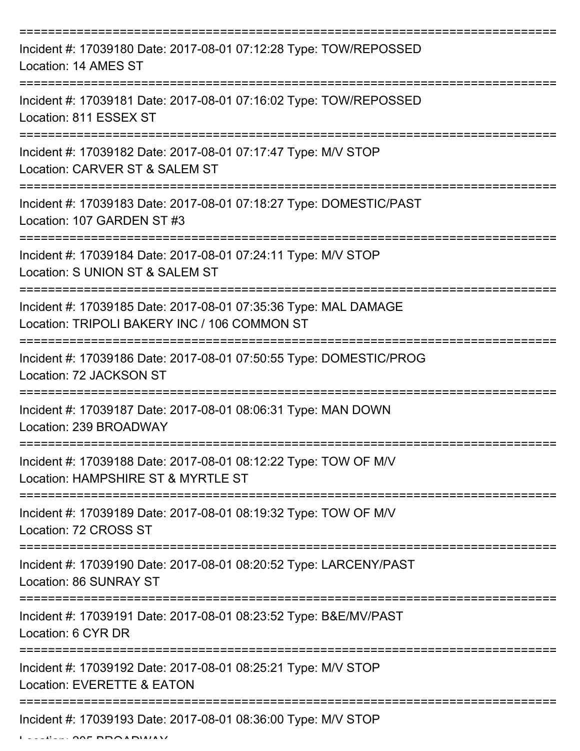| Incident #: 17039180 Date: 2017-08-01 07:12:28 Type: TOW/REPOSSED<br>Location: 14 AMES ST                       |
|-----------------------------------------------------------------------------------------------------------------|
| Incident #: 17039181 Date: 2017-08-01 07:16:02 Type: TOW/REPOSSED<br>Location: 811 ESSEX ST                     |
| Incident #: 17039182 Date: 2017-08-01 07:17:47 Type: M/V STOP<br>Location: CARVER ST & SALEM ST                 |
| Incident #: 17039183 Date: 2017-08-01 07:18:27 Type: DOMESTIC/PAST<br>Location: 107 GARDEN ST #3                |
| Incident #: 17039184 Date: 2017-08-01 07:24:11 Type: M/V STOP<br>Location: S UNION ST & SALEM ST                |
| Incident #: 17039185 Date: 2017-08-01 07:35:36 Type: MAL DAMAGE<br>Location: TRIPOLI BAKERY INC / 106 COMMON ST |
| Incident #: 17039186 Date: 2017-08-01 07:50:55 Type: DOMESTIC/PROG<br>Location: 72 JACKSON ST                   |
| Incident #: 17039187 Date: 2017-08-01 08:06:31 Type: MAN DOWN<br>Location: 239 BROADWAY                         |
| Incident #: 17039188 Date: 2017-08-01 08:12:22 Type: TOW OF M/V<br>Location: HAMPSHIRE ST & MYRTLE ST           |
| Incident #: 17039189 Date: 2017-08-01 08:19:32 Type: TOW OF M/V<br>Location: 72 CROSS ST                        |
| Incident #: 17039190 Date: 2017-08-01 08:20:52 Type: LARCENY/PAST<br>Location: 86 SUNRAY ST                     |
| Incident #: 17039191 Date: 2017-08-01 08:23:52 Type: B&E/MV/PAST<br>Location: 6 CYR DR                          |
| Incident #: 17039192 Date: 2017-08-01 08:25:21 Type: M/V STOP<br>Location: EVERETTE & EATON                     |
| Incident #: 17039193 Date: 2017-08-01 08:36:00 Type: M/V STOP                                                   |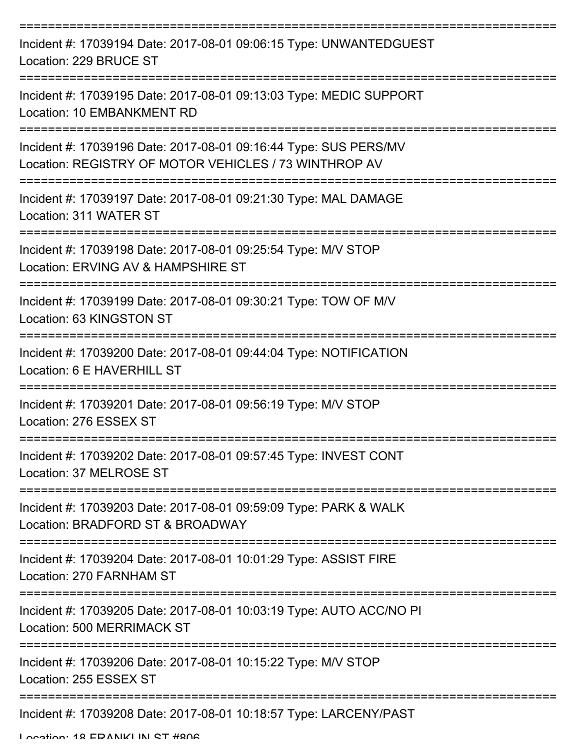| Incident #: 17039194 Date: 2017-08-01 09:06:15 Type: UNWANTEDGUEST<br>Location: 229 BRUCE ST                              |
|---------------------------------------------------------------------------------------------------------------------------|
| Incident #: 17039195 Date: 2017-08-01 09:13:03 Type: MEDIC SUPPORT<br>Location: 10 EMBANKMENT RD                          |
| Incident #: 17039196 Date: 2017-08-01 09:16:44 Type: SUS PERS/MV<br>Location: REGISTRY OF MOTOR VEHICLES / 73 WINTHROP AV |
| Incident #: 17039197 Date: 2017-08-01 09:21:30 Type: MAL DAMAGE<br>Location: 311 WATER ST                                 |
| Incident #: 17039198 Date: 2017-08-01 09:25:54 Type: M/V STOP<br>Location: ERVING AV & HAMPSHIRE ST<br>=================  |
| Incident #: 17039199 Date: 2017-08-01 09:30:21 Type: TOW OF M/V<br>Location: 63 KINGSTON ST                               |
| Incident #: 17039200 Date: 2017-08-01 09:44:04 Type: NOTIFICATION<br>Location: 6 E HAVERHILL ST                           |
| Incident #: 17039201 Date: 2017-08-01 09:56:19 Type: M/V STOP<br>Location: 276 ESSEX ST                                   |
| Incident #: 17039202 Date: 2017-08-01 09:57:45 Type: INVEST CONT<br>Location: 37 MELROSE ST<br>--------------             |
| Incident #: 17039203 Date: 2017-08-01 09:59:09 Type: PARK & WALK<br>Location: BRADFORD ST & BROADWAY                      |
| Incident #: 17039204 Date: 2017-08-01 10:01:29 Type: ASSIST FIRE<br>Location: 270 FARNHAM ST                              |
| Incident #: 17039205 Date: 2017-08-01 10:03:19 Type: AUTO ACC/NO PI<br>Location: 500 MERRIMACK ST                         |
| Incident #: 17039206 Date: 2017-08-01 10:15:22 Type: M/V STOP<br>Location: 255 ESSEX ST                                   |
| Incident #: 17039208 Date: 2017-08-01 10:18:57 Type: LARCENY/PAST                                                         |

Location: 18 EDANIKI IN ST #806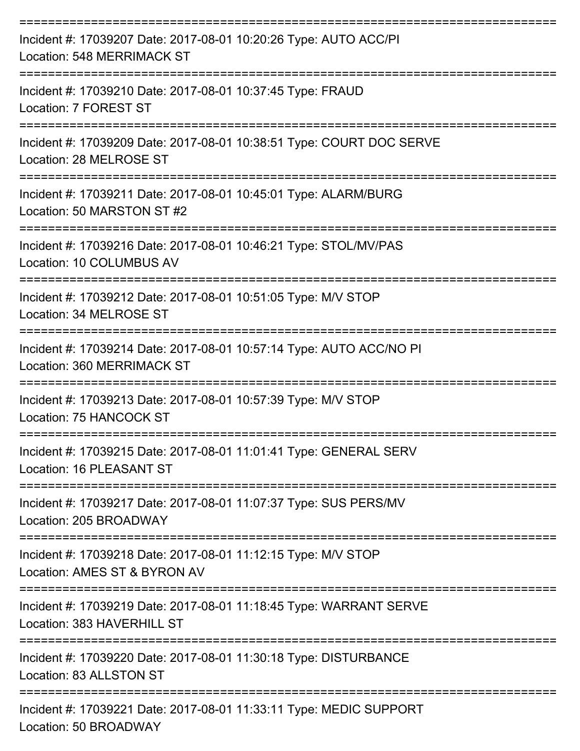| Incident #: 17039207 Date: 2017-08-01 10:20:26 Type: AUTO ACC/PI<br><b>Location: 548 MERRIMACK ST</b> |
|-------------------------------------------------------------------------------------------------------|
| Incident #: 17039210 Date: 2017-08-01 10:37:45 Type: FRAUD<br>Location: 7 FOREST ST                   |
| Incident #: 17039209 Date: 2017-08-01 10:38:51 Type: COURT DOC SERVE<br>Location: 28 MELROSE ST       |
| Incident #: 17039211 Date: 2017-08-01 10:45:01 Type: ALARM/BURG<br>Location: 50 MARSTON ST #2         |
| Incident #: 17039216 Date: 2017-08-01 10:46:21 Type: STOL/MV/PAS<br>Location: 10 COLUMBUS AV          |
| Incident #: 17039212 Date: 2017-08-01 10:51:05 Type: M/V STOP<br>Location: 34 MELROSE ST              |
| Incident #: 17039214 Date: 2017-08-01 10:57:14 Type: AUTO ACC/NO PI<br>Location: 360 MERRIMACK ST     |
| Incident #: 17039213 Date: 2017-08-01 10:57:39 Type: M/V STOP<br>Location: 75 HANCOCK ST              |
| Incident #: 17039215 Date: 2017-08-01 11:01:41 Type: GENERAL SERV<br>Location: 16 PLEASANT ST         |
| Incident #: 17039217 Date: 2017-08-01 11:07:37 Type: SUS PERS/MV<br>Location: 205 BROADWAY            |
| Incident #: 17039218 Date: 2017-08-01 11:12:15 Type: M/V STOP<br>Location: AMES ST & BYRON AV         |
| Incident #: 17039219 Date: 2017-08-01 11:18:45 Type: WARRANT SERVE<br>Location: 383 HAVERHILL ST      |
| Incident #: 17039220 Date: 2017-08-01 11:30:18 Type: DISTURBANCE<br>Location: 83 ALLSTON ST           |
| Incident #: 17039221 Date: 2017-08-01 11:33:11 Type: MEDIC SUPPORT<br>Location: 50 BROADWAY           |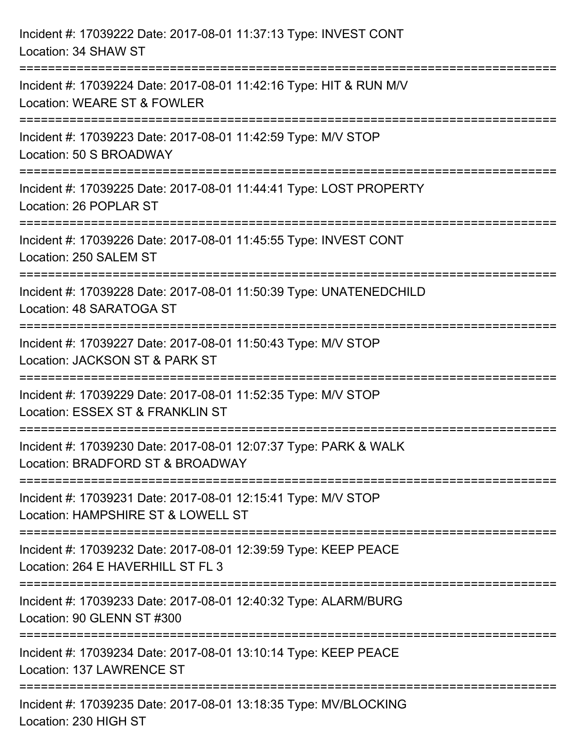| Incident #: 17039222 Date: 2017-08-01 11:37:13 Type: INVEST CONT<br>Location: 34 SHAW ST                                              |
|---------------------------------------------------------------------------------------------------------------------------------------|
| ================================<br>Incident #: 17039224 Date: 2017-08-01 11:42:16 Type: HIT & RUN M/V<br>Location: WEARE ST & FOWLER |
| Incident #: 17039223 Date: 2017-08-01 11:42:59 Type: M/V STOP<br>Location: 50 S BROADWAY<br>================================          |
| Incident #: 17039225 Date: 2017-08-01 11:44:41 Type: LOST PROPERTY<br>Location: 26 POPLAR ST                                          |
| Incident #: 17039226 Date: 2017-08-01 11:45:55 Type: INVEST CONT<br>Location: 250 SALEM ST                                            |
| Incident #: 17039228 Date: 2017-08-01 11:50:39 Type: UNATENEDCHILD<br>Location: 48 SARATOGA ST                                        |
| Incident #: 17039227 Date: 2017-08-01 11:50:43 Type: M/V STOP<br>Location: JACKSON ST & PARK ST                                       |
| Incident #: 17039229 Date: 2017-08-01 11:52:35 Type: M/V STOP<br>Location: ESSEX ST & FRANKLIN ST                                     |
| Incident #: 17039230 Date: 2017-08-01 12:07:37 Type: PARK & WALK<br>Location: BRADFORD ST & BROADWAY                                  |
| Incident #: 17039231 Date: 2017-08-01 12:15:41 Type: M/V STOP<br>Location: HAMPSHIRE ST & LOWELL ST                                   |
| Incident #: 17039232 Date: 2017-08-01 12:39:59 Type: KEEP PEACE<br>Location: 264 E HAVERHILL ST FL 3                                  |
| Incident #: 17039233 Date: 2017-08-01 12:40:32 Type: ALARM/BURG<br>Location: 90 GLENN ST #300                                         |
| Incident #: 17039234 Date: 2017-08-01 13:10:14 Type: KEEP PEACE<br>Location: 137 LAWRENCE ST                                          |
| Incident #: 17039235 Date: 2017-08-01 13:18:35 Type: MV/BLOCKING<br>Location: 230 HIGH ST                                             |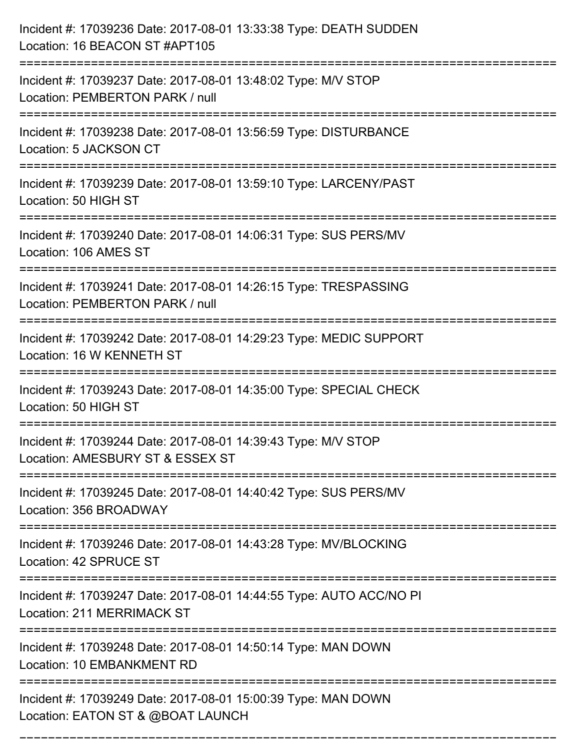| Incident #: 17039236 Date: 2017-08-01 13:33:38 Type: DEATH SUDDEN<br>Location: 16 BEACON ST #APT105                                                                  |
|----------------------------------------------------------------------------------------------------------------------------------------------------------------------|
| Incident #: 17039237 Date: 2017-08-01 13:48:02 Type: M/V STOP<br>Location: PEMBERTON PARK / null                                                                     |
| Incident #: 17039238 Date: 2017-08-01 13:56:59 Type: DISTURBANCE<br>Location: 5 JACKSON CT                                                                           |
| Incident #: 17039239 Date: 2017-08-01 13:59:10 Type: LARCENY/PAST<br>Location: 50 HIGH ST                                                                            |
| Incident #: 17039240 Date: 2017-08-01 14:06:31 Type: SUS PERS/MV<br>Location: 106 AMES ST                                                                            |
| Incident #: 17039241 Date: 2017-08-01 14:26:15 Type: TRESPASSING<br>Location: PEMBERTON PARK / null                                                                  |
| Incident #: 17039242 Date: 2017-08-01 14:29:23 Type: MEDIC SUPPORT<br>Location: 16 W KENNETH ST                                                                      |
| Incident #: 17039243 Date: 2017-08-01 14:35:00 Type: SPECIAL CHECK<br>Location: 50 HIGH ST                                                                           |
| Incident #: 17039244 Date: 2017-08-01 14:39:43 Type: M/V STOP<br>Location: AMESBURY ST & ESSEX ST                                                                    |
| Incident #: 17039245 Date: 2017-08-01 14:40:42 Type: SUS PERS/MV<br>Location: 356 BROADWAY<br>===================================<br>------------------------------- |
| Incident #: 17039246 Date: 2017-08-01 14:43:28 Type: MV/BLOCKING<br>Location: 42 SPRUCE ST                                                                           |
| =========================<br>Incident #: 17039247 Date: 2017-08-01 14:44:55 Type: AUTO ACC/NO PI<br><b>Location: 211 MERRIMACK ST</b>                                |
| Incident #: 17039248 Date: 2017-08-01 14:50:14 Type: MAN DOWN<br>Location: 10 EMBANKMENT RD                                                                          |
| Incident #: 17039249 Date: 2017-08-01 15:00:39 Type: MAN DOWN<br>Location: EATON ST & @BOAT LAUNCH                                                                   |

===========================================================================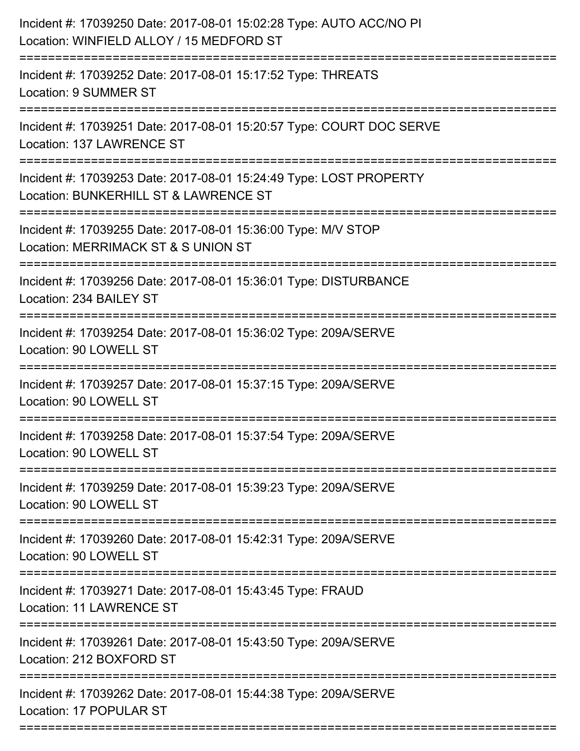| Incident #: 17039250 Date: 2017-08-01 15:02:28 Type: AUTO ACC/NO PI<br>Location: WINFIELD ALLOY / 15 MEDFORD ST |
|-----------------------------------------------------------------------------------------------------------------|
| Incident #: 17039252 Date: 2017-08-01 15:17:52 Type: THREATS<br>Location: 9 SUMMER ST                           |
| Incident #: 17039251 Date: 2017-08-01 15:20:57 Type: COURT DOC SERVE<br>Location: 137 LAWRENCE ST               |
| Incident #: 17039253 Date: 2017-08-01 15:24:49 Type: LOST PROPERTY<br>Location: BUNKERHILL ST & LAWRENCE ST     |
| Incident #: 17039255 Date: 2017-08-01 15:36:00 Type: M/V STOP<br>Location: MERRIMACK ST & S UNION ST            |
| Incident #: 17039256 Date: 2017-08-01 15:36:01 Type: DISTURBANCE<br>Location: 234 BAILEY ST                     |
| Incident #: 17039254 Date: 2017-08-01 15:36:02 Type: 209A/SERVE<br>Location: 90 LOWELL ST                       |
| Incident #: 17039257 Date: 2017-08-01 15:37:15 Type: 209A/SERVE<br>Location: 90 LOWELL ST                       |
| Incident #: 17039258 Date: 2017-08-01 15:37:54 Type: 209A/SERVE<br>Location: 90 LOWELL ST                       |
| Incident #: 17039259 Date: 2017-08-01 15:39:23 Type: 209A/SERVE<br>Location: 90 LOWELL ST                       |
| Incident #: 17039260 Date: 2017-08-01 15:42:31 Type: 209A/SERVE<br>Location: 90 LOWELL ST                       |
| Incident #: 17039271 Date: 2017-08-01 15:43:45 Type: FRAUD<br><b>Location: 11 LAWRENCE ST</b>                   |
| Incident #: 17039261 Date: 2017-08-01 15:43:50 Type: 209A/SERVE<br>Location: 212 BOXFORD ST                     |
| Incident #: 17039262 Date: 2017-08-01 15:44:38 Type: 209A/SERVE<br>Location: 17 POPULAR ST                      |
|                                                                                                                 |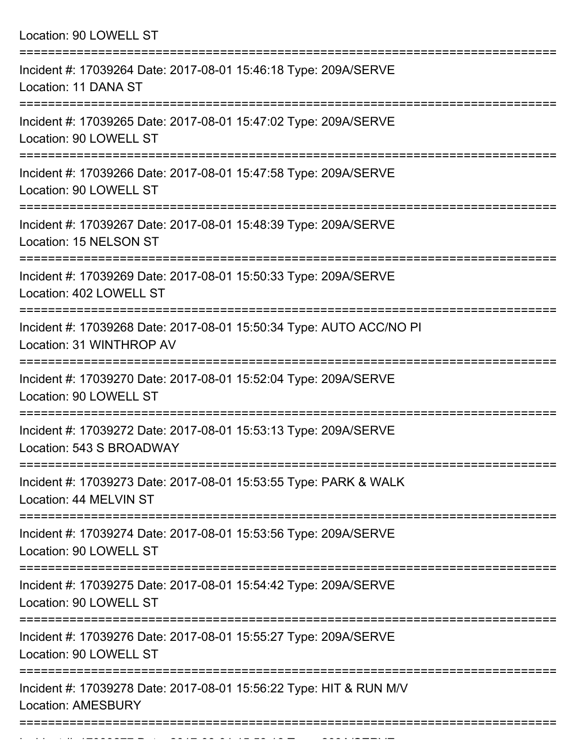| Location: 90 LOWELL ST                                                                                                  |
|-------------------------------------------------------------------------------------------------------------------------|
| Incident #: 17039264 Date: 2017-08-01 15:46:18 Type: 209A/SERVE<br>Location: 11 DANA ST                                 |
| Incident #: 17039265 Date: 2017-08-01 15:47:02 Type: 209A/SERVE<br>Location: 90 LOWELL ST                               |
| Incident #: 17039266 Date: 2017-08-01 15:47:58 Type: 209A/SERVE<br>Location: 90 LOWELL ST                               |
| Incident #: 17039267 Date: 2017-08-01 15:48:39 Type: 209A/SERVE<br>Location: 15 NELSON ST                               |
| Incident #: 17039269 Date: 2017-08-01 15:50:33 Type: 209A/SERVE<br>Location: 402 LOWELL ST                              |
| --------------------<br>Incident #: 17039268 Date: 2017-08-01 15:50:34 Type: AUTO ACC/NO PI<br>Location: 31 WINTHROP AV |
| Incident #: 17039270 Date: 2017-08-01 15:52:04 Type: 209A/SERVE<br>Location: 90 LOWELL ST                               |
| Incident #: 17039272 Date: 2017-08-01 15:53:13 Type: 209A/SERVE<br>Location: 543 S BROADWAY                             |
| Incident #: 17039273 Date: 2017-08-01 15:53:55 Type: PARK & WALK<br>Location: 44 MELVIN ST                              |
| Incident #: 17039274 Date: 2017-08-01 15:53:56 Type: 209A/SERVE<br>Location: 90 LOWELL ST                               |
| Incident #: 17039275 Date: 2017-08-01 15:54:42 Type: 209A/SERVE<br>Location: 90 LOWELL ST                               |
| Incident #: 17039276 Date: 2017-08-01 15:55:27 Type: 209A/SERVE<br>Location: 90 LOWELL ST                               |
| Incident #: 17039278 Date: 2017-08-01 15:56:22 Type: HIT & RUN M/V<br><b>Location: AMESBURY</b>                         |

Incident #: 17039277 Date: 2017 08 01 15:58:16 Type: 209A/SERVE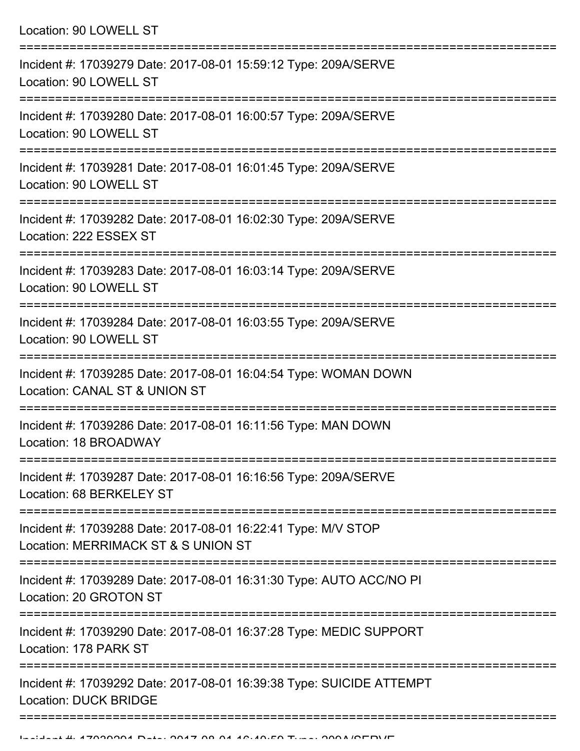| Location: 90 LOWELL ST                                                                                                            |
|-----------------------------------------------------------------------------------------------------------------------------------|
| Incident #: 17039279 Date: 2017-08-01 15:59:12 Type: 209A/SERVE<br>Location: 90 LOWELL ST                                         |
| Incident #: 17039280 Date: 2017-08-01 16:00:57 Type: 209A/SERVE<br>Location: 90 LOWELL ST                                         |
| Incident #: 17039281 Date: 2017-08-01 16:01:45 Type: 209A/SERVE<br>Location: 90 LOWELL ST                                         |
| Incident #: 17039282 Date: 2017-08-01 16:02:30 Type: 209A/SERVE<br>Location: 222 ESSEX ST                                         |
| Incident #: 17039283 Date: 2017-08-01 16:03:14 Type: 209A/SERVE<br>Location: 90 LOWELL ST<br>:=================================== |
| Incident #: 17039284 Date: 2017-08-01 16:03:55 Type: 209A/SERVE<br>Location: 90 LOWELL ST                                         |
| Incident #: 17039285 Date: 2017-08-01 16:04:54 Type: WOMAN DOWN<br>Location: CANAL ST & UNION ST                                  |
| Incident #: 17039286 Date: 2017-08-01 16:11:56 Type: MAN DOWN<br>Location: 18 BROADWAY                                            |
| Incident #: 17039287 Date: 2017-08-01 16:16:56 Type: 209A/SERVE<br>Location: 68 BERKELEY ST                                       |
| Incident #: 17039288 Date: 2017-08-01 16:22:41 Type: M/V STOP<br>Location: MERRIMACK ST & S UNION ST                              |
| Incident #: 17039289 Date: 2017-08-01 16:31:30 Type: AUTO ACC/NO PI<br>Location: 20 GROTON ST                                     |
| Incident #: 17039290 Date: 2017-08-01 16:37:28 Type: MEDIC SUPPORT<br>Location: 178 PARK ST                                       |
| Incident #: 17039292 Date: 2017-08-01 16:39:38 Type: SUICIDE ATTEMPT<br><b>Location: DUCK BRIDGE</b>                              |
|                                                                                                                                   |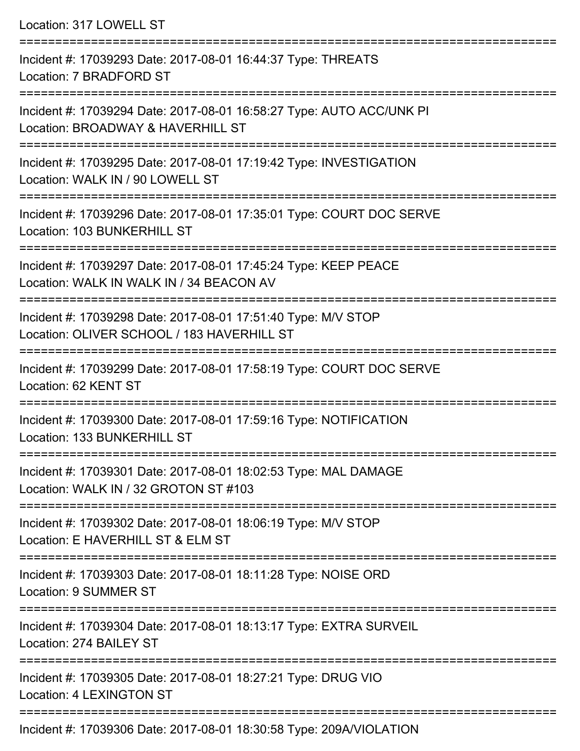Location: 317 LOWELL ST

=========================================================================== Incident #: 17039293 Date: 2017-08-01 16:44:37 Type: THREATS Location: 7 BRADFORD ST =========================================================================== Incident #: 17039294 Date: 2017-08-01 16:58:27 Type: AUTO ACC/UNK PI Location: BROADWAY & HAVERHILL ST =========================================================================== Incident #: 17039295 Date: 2017-08-01 17:19:42 Type: INVESTIGATION Location: WALK IN / 90 LOWELL ST =========================================================================== Incident #: 17039296 Date: 2017-08-01 17:35:01 Type: COURT DOC SERVE Location: 103 BUNKERHILL ST =========================================================================== Incident #: 17039297 Date: 2017-08-01 17:45:24 Type: KEEP PEACE Location: WALK IN WALK IN / 34 BEACON AV =========================================================================== Incident #: 17039298 Date: 2017-08-01 17:51:40 Type: M/V STOP Location: OLIVER SCHOOL / 183 HAVERHILL ST =========================================================================== Incident #: 17039299 Date: 2017-08-01 17:58:19 Type: COURT DOC SERVE Location: 62 KENT ST =========================================================================== Incident #: 17039300 Date: 2017-08-01 17:59:16 Type: NOTIFICATION Location: 133 BUNKERHILL ST =========================================================================== Incident #: 17039301 Date: 2017-08-01 18:02:53 Type: MAL DAMAGE Location: WALK IN / 32 GROTON ST #103 =========================================================================== Incident #: 17039302 Date: 2017-08-01 18:06:19 Type: M/V STOP Location: E HAVERHILL ST & ELM ST =========================================================================== Incident #: 17039303 Date: 2017-08-01 18:11:28 Type: NOISE ORD Location: 9 SUMMER ST =========================================================================== Incident #: 17039304 Date: 2017-08-01 18:13:17 Type: EXTRA SURVEIL Location: 274 BAILEY ST =========================================================================== Incident #: 17039305 Date: 2017-08-01 18:27:21 Type: DRUG VIO Location: 4 LEXINGTON ST =========================================================================== Incident #: 17039306 Date: 2017-08-01 18:30:58 Type: 209A/VIOLATION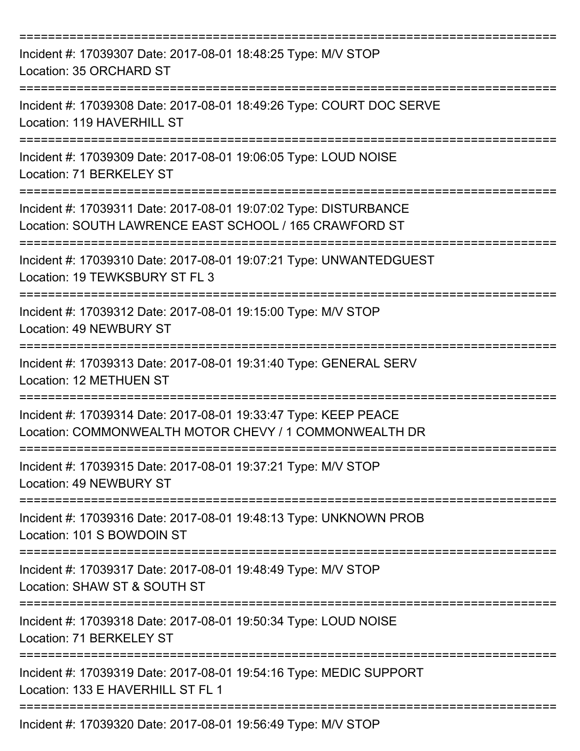| Incident #: 17039307 Date: 2017-08-01 18:48:25 Type: M/V STOP<br>Location: 35 ORCHARD ST                                   |
|----------------------------------------------------------------------------------------------------------------------------|
| Incident #: 17039308 Date: 2017-08-01 18:49:26 Type: COURT DOC SERVE<br>Location: 119 HAVERHILL ST                         |
| Incident #: 17039309 Date: 2017-08-01 19:06:05 Type: LOUD NOISE<br>Location: 71 BERKELEY ST                                |
| Incident #: 17039311 Date: 2017-08-01 19:07:02 Type: DISTURBANCE<br>Location: SOUTH LAWRENCE EAST SCHOOL / 165 CRAWFORD ST |
| Incident #: 17039310 Date: 2017-08-01 19:07:21 Type: UNWANTEDGUEST<br>Location: 19 TEWKSBURY ST FL 3                       |
| Incident #: 17039312 Date: 2017-08-01 19:15:00 Type: M/V STOP<br>Location: 49 NEWBURY ST                                   |
| Incident #: 17039313 Date: 2017-08-01 19:31:40 Type: GENERAL SERV<br><b>Location: 12 METHUEN ST</b>                        |
| Incident #: 17039314 Date: 2017-08-01 19:33:47 Type: KEEP PEACE<br>Location: COMMONWEALTH MOTOR CHEVY / 1 COMMONWEALTH DR  |
| Incident #: 17039315 Date: 2017-08-01 19:37:21 Type: M/V STOP<br>Location: 49 NEWBURY ST                                   |
| Incident #: 17039316 Date: 2017-08-01 19:48:13 Type: UNKNOWN PROB<br>Location: 101 S BOWDOIN ST                            |
| Incident #: 17039317 Date: 2017-08-01 19:48:49 Type: M/V STOP<br>Location: SHAW ST & SOUTH ST                              |
| Incident #: 17039318 Date: 2017-08-01 19:50:34 Type: LOUD NOISE<br>Location: 71 BERKELEY ST                                |
| Incident #: 17039319 Date: 2017-08-01 19:54:16 Type: MEDIC SUPPORT<br>Location: 133 E HAVERHILL ST FL 1                    |
| Incident #: 17039320 Date: 2017-08-01 19:56:49 Type: M/V STOP                                                              |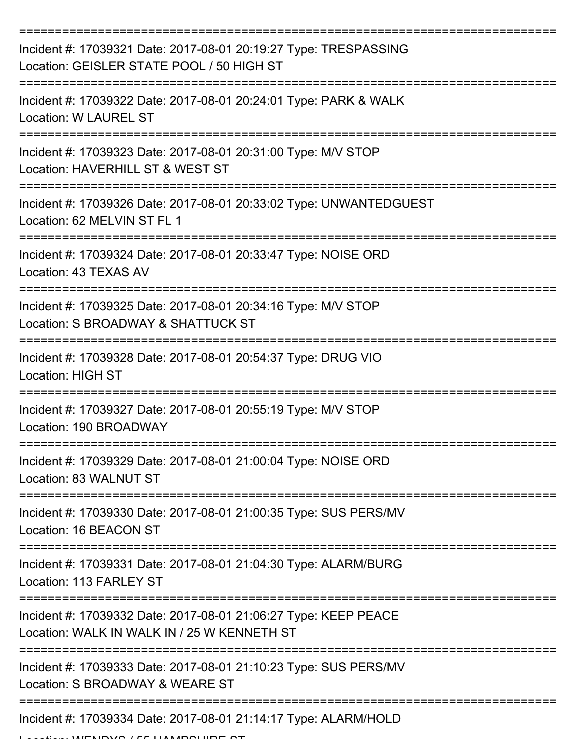| Incident #: 17039321 Date: 2017-08-01 20:19:27 Type: TRESPASSING<br>Location: GEISLER STATE POOL / 50 HIGH ST  |
|----------------------------------------------------------------------------------------------------------------|
| Incident #: 17039322 Date: 2017-08-01 20:24:01 Type: PARK & WALK<br><b>Location: W LAUREL ST</b>               |
| Incident #: 17039323 Date: 2017-08-01 20:31:00 Type: M/V STOP<br>Location: HAVERHILL ST & WEST ST              |
| Incident #: 17039326 Date: 2017-08-01 20:33:02 Type: UNWANTEDGUEST<br>Location: 62 MELVIN ST FL 1              |
| Incident #: 17039324 Date: 2017-08-01 20:33:47 Type: NOISE ORD<br>Location: 43 TEXAS AV                        |
| Incident #: 17039325 Date: 2017-08-01 20:34:16 Type: M/V STOP<br>Location: S BROADWAY & SHATTUCK ST            |
| Incident #: 17039328 Date: 2017-08-01 20:54:37 Type: DRUG VIO<br>Location: HIGH ST                             |
| Incident #: 17039327 Date: 2017-08-01 20:55:19 Type: M/V STOP<br>Location: 190 BROADWAY                        |
| Incident #: 17039329 Date: 2017-08-01 21:00:04 Type: NOISE ORD<br>Location: 83 WALNUT ST                       |
| Incident #: 17039330 Date: 2017-08-01 21:00:35 Type: SUS PERS/MV<br>Location: 16 BEACON ST                     |
| Incident #: 17039331 Date: 2017-08-01 21:04:30 Type: ALARM/BURG<br>Location: 113 FARLEY ST                     |
| Incident #: 17039332 Date: 2017-08-01 21:06:27 Type: KEEP PEACE<br>Location: WALK IN WALK IN / 25 W KENNETH ST |
| Incident #: 17039333 Date: 2017-08-01 21:10:23 Type: SUS PERS/MV<br>Location: S BROADWAY & WEARE ST            |
| Incident #: 17039334 Date: 2017-08-01 21:14:17 Type: ALARM/HOLD                                                |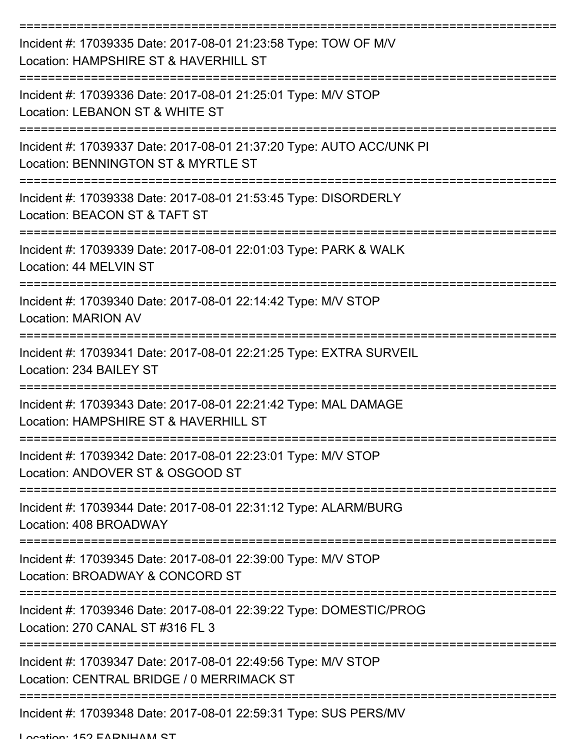| Incident #: 17039335 Date: 2017-08-01 21:23:58 Type: TOW OF M/V<br>Location: HAMPSHIRE ST & HAVERHILL ST    |
|-------------------------------------------------------------------------------------------------------------|
| Incident #: 17039336 Date: 2017-08-01 21:25:01 Type: M/V STOP<br>Location: LEBANON ST & WHITE ST            |
| Incident #: 17039337 Date: 2017-08-01 21:37:20 Type: AUTO ACC/UNK PI<br>Location: BENNINGTON ST & MYRTLE ST |
| Incident #: 17039338 Date: 2017-08-01 21:53:45 Type: DISORDERLY<br>Location: BEACON ST & TAFT ST            |
| Incident #: 17039339 Date: 2017-08-01 22:01:03 Type: PARK & WALK<br>Location: 44 MELVIN ST                  |
| Incident #: 17039340 Date: 2017-08-01 22:14:42 Type: M/V STOP<br><b>Location: MARION AV</b>                 |
| Incident #: 17039341 Date: 2017-08-01 22:21:25 Type: EXTRA SURVEIL<br>Location: 234 BAILEY ST               |
| Incident #: 17039343 Date: 2017-08-01 22:21:42 Type: MAL DAMAGE<br>Location: HAMPSHIRE ST & HAVERHILL ST    |
| Incident #: 17039342 Date: 2017-08-01 22:23:01 Type: M/V STOP<br>Location: ANDOVER ST & OSGOOD ST           |
| Incident #: 17039344 Date: 2017-08-01 22:31:12 Type: ALARM/BURG<br>Location: 408 BROADWAY                   |
| Incident #: 17039345 Date: 2017-08-01 22:39:00 Type: M/V STOP<br>Location: BROADWAY & CONCORD ST            |
| Incident #: 17039346 Date: 2017-08-01 22:39:22 Type: DOMESTIC/PROG<br>Location: 270 CANAL ST #316 FL 3      |
| Incident #: 17039347 Date: 2017-08-01 22:49:56 Type: M/V STOP<br>Location: CENTRAL BRIDGE / 0 MERRIMACK ST  |
| Incident #: 17039348 Date: 2017-08-01 22:59:31 Type: SUS PERS/MV                                            |

Location: 152 FARNHAM ST